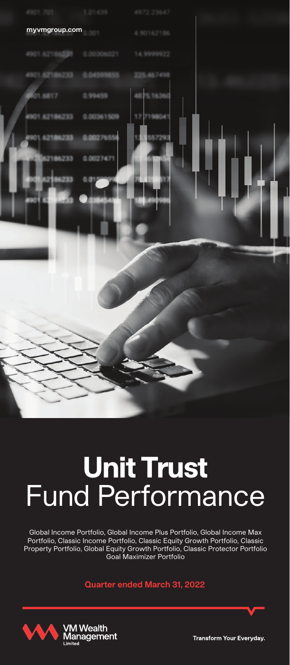

# **Unit Trust** Fund Performance

Global Income Portfolio, Global Income Plus Portfolio, Global Income Max Portfolio, Classic Income Portfolio, Classic Equity Growth Portfolio, Classic Property Portfolio, Global Equity Growth Portfolio, Classic Protector Portfolio Goal Maximizer Portfolio

**Quarter ended March 31, 2022**



**Transform Your Everyday**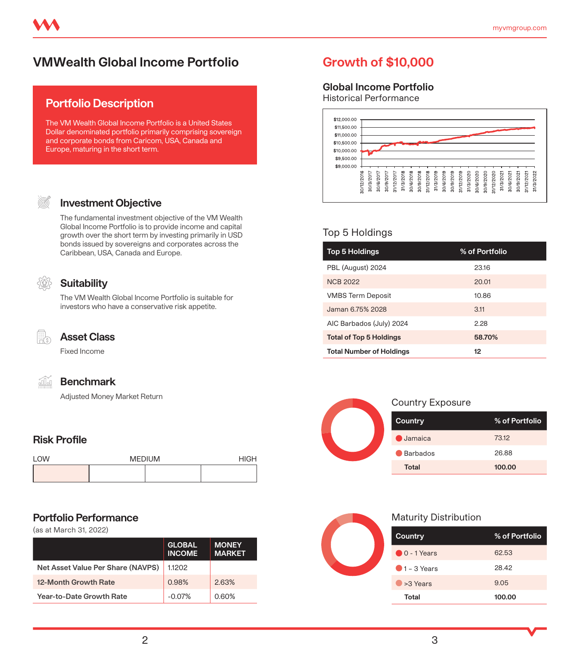# **VMWealth Global Income Portfolio Growth of \$10,000**

### **Portfolio Description**

The VM Wealth Global Income Portfolio is a United States Dollar denominated portfolio primarily comprising sovereign and corporate bonds from Caricom, USA, Canada and Europe, maturing in the short term.

#### **Investment Objective**

The fundamental investment objective of the VM Wealth Global Income Portfolio is to provide income and capital growth over the short term by investing primarily in USD bonds issued by sovereigns and corporates across the Caribbean, USA, Canada and Europe.

### **Suitability**

The VM Wealth Global Income Portfolio is suitable for investors who have a conservative risk appetite.



#### **Asset Class**

Fixed Income



#### **Benchmark**

Adjusted Money Market Return

#### **Risk Profile**

| <b>I OW</b> | <b>MEDIUM</b> | H[G] |  |
|-------------|---------------|------|--|
|             |               |      |  |

#### **Portfolio Performance**

(as at March 31, 2022)

|                                   | <b>GLOBAL</b><br><b>INCOME</b> | <b>MONEY</b><br><b>MARKET</b> |
|-----------------------------------|--------------------------------|-------------------------------|
| Net Asset Value Per Share (NAVPS) | 1.1202                         |                               |
| 12-Month Growth Rate              | 0.98%                          | 263%                          |
| Year-to-Date Growth Rate          | $-0.07%$                       | 0.60%                         |

#### **Global Income Portfolio**

Historical Performance



#### Top 5 Holdings

| <b>Top 5 Holdings</b>           | % of Portfolio |
|---------------------------------|----------------|
| PBL (August) 2024               | 2316           |
| <b>NCB 2022</b>                 | 20.01          |
| <b>VMBS Term Deposit</b>        | 10.86          |
| Jaman 6.75% 2028                | 3.11           |
| AIC Barbados (July) 2024        | 2.28           |
| <b>Total of Top 5 Holdings</b>  | 58.70%         |
| <b>Total Number of Holdings</b> | 12             |



#### Country Exposure

| Country        | % of Portfolio |
|----------------|----------------|
| $\Box$ Jamaica | 73.12          |
| Barbados       | 26.88          |
| Total          | 100.00         |



| Country                | % of Portfolio |
|------------------------|----------------|
| $\bigcirc$ 0 - 1 Years | 62.53          |
| $\bigcirc$ 1 – 3 Years | 28.42          |
| $\rightarrow$ 3 Years  | 9.05           |
| Total                  | 100.00         |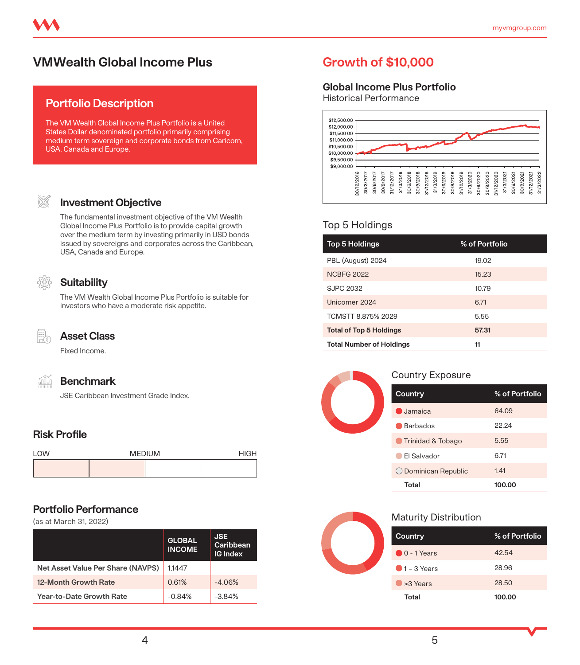# **VMWealth Global Income Plus Growth of \$10,000**

### **Portfolio Description**

The VM Wealth Global Income Plus Portfolio is a United States Dollar denominated portfolio primarily comprising medium term sovereign and corporate bonds from Caricom, USA, Canada and Europe.

# **Investment Objective**

The fundamental investment objective of the VM Wealth Global Income Plus Portfolio is to provide capital growth over the medium term by investing primarily in USD bonds issued by sovereigns and corporates across the Caribbean, USA, Canada and Europe.

# **Suitability**

The VM Wealth Global Income Plus Portfolio is suitable for investors who have a moderate risk appetite.



#### **Asset Class**

Fixed Income.



#### **Benchmark**

JSE Caribbean Investment Grade Index.

# **Risk Profile**

| <b>I OW</b> | <b>MEDIUM</b> | <b>HIGH</b> |  |
|-------------|---------------|-------------|--|
|             |               |             |  |

#### **Portfolio Performance**

(as at March 31, 2022)

|                                   | <b>GLOBAL</b><br><b>INCOME</b> | <b>JSE</b><br>Caribbean<br><b>IG Index</b> |
|-----------------------------------|--------------------------------|--------------------------------------------|
| Net Asset Value Per Share (NAVPS) | 1.1447                         |                                            |
| 12-Month Growth Rate              | 0.61%                          | $-4.06%$                                   |
| Year-to-Date Growth Rate          | $-0.84%$                       | $-384%$                                    |

#### **Global Income Plus Portfolio**

Historical Performance



#### Top 5 Holdings

| <b>Top 5 Holdings</b>           | % of Portfolio |
|---------------------------------|----------------|
| PBL (August) 2024               | 19.02          |
| <b>NCBFG 2022</b>               | 15.23          |
| SJPC 2032                       | 10.79          |
| Unicomer 2024                   | 6.71           |
| TCMSTT 8.875% 2029              | 5.55           |
| <b>Total of Top 5 Holdings</b>  | 57.31          |
| <b>Total Number of Holdings</b> | 11             |



#### Country Exposure

| Country              | % of Portfolio |
|----------------------|----------------|
| $\bigcirc$ , Jamaica | 64.09          |
| <b>Barbados</b>      | 2224           |
| Trinidad & Tobago    | 5.55           |
| FI Salvador          | 671            |
| O Dominican Republic | 141            |
| Total                | 100.00         |

| Country                | % of Portfolio |
|------------------------|----------------|
| $0.0 - 1$ Years        | 42.54          |
| $\bigcirc$ 1 – 3 Years | 28.96          |
| >3 Years               | 28.50          |
| Total                  | 100.00         |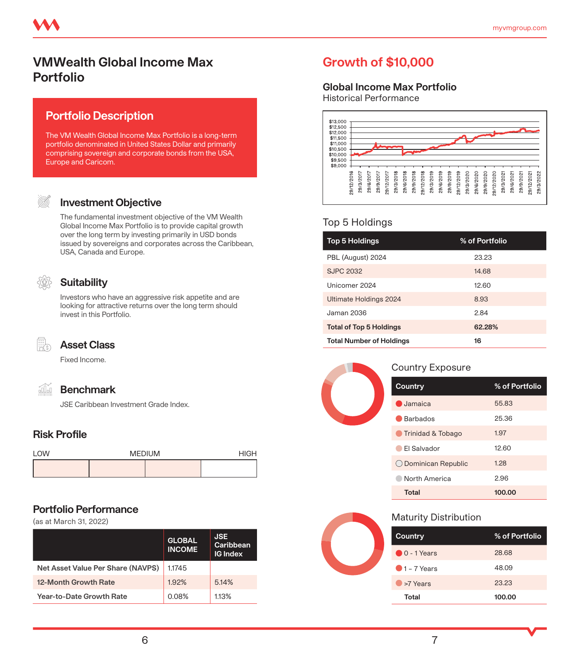# **VMWealth Global Income Max Portfolio**

## **Portfolio Description**

The VM Wealth Global Income Max Portfolio is a long-term portfolio denominated in United States Dollar and primarily comprising sovereign and corporate bonds from the USA, Europe and Caricom.

#### **Investment Objective**

The fundamental investment objective of the VM Wealth Global Income Max Portfolio is to provide capital growth over the long term by investing primarily in USD bonds issued by sovereigns and corporates across the Caribbean, USA, Canada and Europe.

### **Suitability**

Investors who have an aggressive risk appetite and are looking for attractive returns over the long term should invest in this Portfolio.

îÑ

# **Asset Class**

Fixed Income.

#### **Benchmark**

JSE Caribbean Investment Grade Index.

# **Risk Profile**

| LOW | <b>MEDIUM</b> | <b>HIGH</b> |  |
|-----|---------------|-------------|--|
|     |               |             |  |

### **Portfolio Performance**

(as at March 31, 2022)

|                                   | <b>GLOBAL</b><br><b>INCOME</b> | <b>JSE</b><br>Caribbean<br><b>IG Index</b> |
|-----------------------------------|--------------------------------|--------------------------------------------|
| Net Asset Value Per Share (NAVPS) | 1.1745                         |                                            |
| 12-Month Growth Rate              | 1.92%                          | 5.14%                                      |
| Year-to-Date Growth Rate          | 0.08%                          | 113%                                       |

# **Growth of \$10,000**

#### **Global Income Max Portfolio**

Historical Performance



#### Top 5 Holdings

| <b>Top 5 Holdings</b>           | % of Portfolio |
|---------------------------------|----------------|
| PBL (August) 2024               | 23.23          |
| <b>SJPC 2032</b>                | 14.68          |
| Unicomer 2024                   | 12.60          |
| Ultimate Holdings 2024          | 8.93           |
| Jaman 2036                      | 284            |
| <b>Total of Top 5 Holdings</b>  | 62.28%         |
| <b>Total Number of Holdings</b> | 16             |

#### Country Exposure

| Country                  | % of Portfolio |
|--------------------------|----------------|
| $\blacksquare$ , Jamaica | 55.83          |
| <b>Barbados</b>          | 25.36          |
| Trinidad & Tobago        | 1.97           |
| El Salvador              | 12.60          |
| O Dominican Republic     | 1.28           |
| North America            | 2.96           |
| Total                    | 100.00         |

| Country                | % of Portfolio |
|------------------------|----------------|
| $\bigcirc$ 0 - 1 Years | 28.68          |
| $\bigcirc$ 1 – 7 Years | 48.09          |
| >7 Years               | 23.23          |
| Total                  | 100.00         |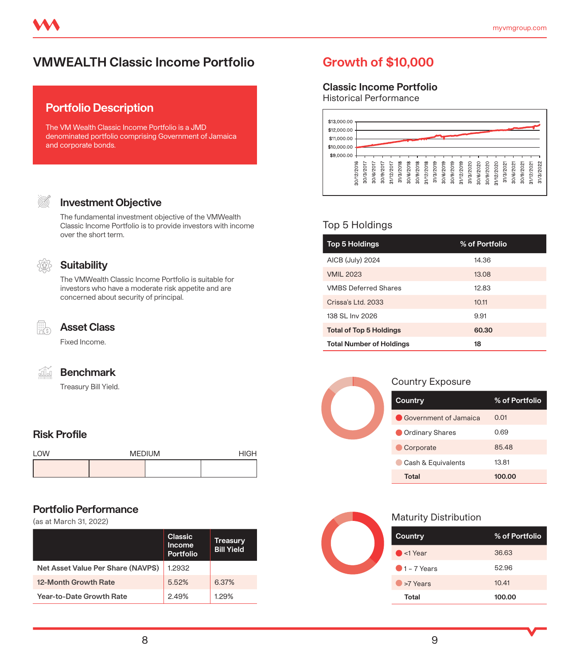# **VMWEALTH Classic Income Portfolio Growth of \$10,000**

# **Portfolio Description**

The VM Wealth Classic Income Portfolio is a JMD denominated portfolio comprising Government of Jamaica and corporate bonds.

### **Investment Objective**

The fundamental investment objective of the VMWealth Classic Income Portfolio is to provide investors with income over the short term.



#### **Suitability**

The VMWealth Classic Income Portfolio is suitable for investors who have a moderate risk appetite and are concerned about security of principal.



#### **Asset Class**

Fixed Income.

#### **Benchmark**

Treasury Bill Yield.

## **Risk Profile**

| <b>I OW</b> | <b>MEDIUM</b> | <b>HIGH</b> |
|-------------|---------------|-------------|
|             |               |             |

#### **Portfolio Performance**

(as at March 31, 2022)

|                                   | <b>Classic</b><br>Income<br>Portfolio | Treasury<br><b>Bill Yield</b> |
|-----------------------------------|---------------------------------------|-------------------------------|
| Net Asset Value Per Share (NAVPS) | 1.2932                                |                               |
| 12-Month Growth Rate              | 552%                                  | 6.37%                         |
| Year-to-Date Growth Rate          | 249%                                  | 129%                          |

#### **Classic Income Portfolio**

Historical Performance



#### Top 5 Holdings

| <b>Top 5 Holdings</b>           | % of Portfolio |
|---------------------------------|----------------|
| AICB (July) 2024                | 14.36          |
| <b>VMIL 2023</b>                | 13.08          |
| <b>VMBS Deferred Shares</b>     | 12.83          |
| Crissa's Ltd. 2033              | 1011           |
| 138 SL Inv 2026                 | 9.91           |
| <b>Total of Top 5 Holdings</b>  | 60.30          |
| <b>Total Number of Holdings</b> | 18             |



#### Country Exposure

| Country                      | % of Portfolio  |
|------------------------------|-----------------|
| <b>Government of Jamaica</b> | 0 <sub>01</sub> |
| Ordinary Shares              | 0.69            |
| Corporate                    | 85.48           |
| Cash & Equivalents           | 13.81           |
| <b>Total</b>                 | 100.00          |

| Country                | % of Portfolio |
|------------------------|----------------|
| $\bullet$ <1 Year      | 36.63          |
| $\bigcirc$ 1 – 7 Years | 52.96          |
| >7 Years               | 10.41          |
| Total                  | 100.00         |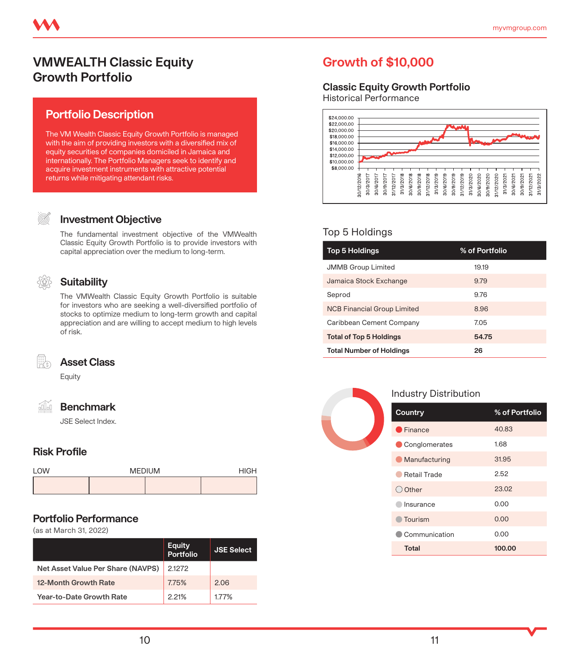# **VMWEALTH Classic Equity Growth Portfolio**

# **Portfolio Description**

The VM Wealth Classic Equity Growth Portfolio is managed with the aim of providing investors with a diversified mix of equity securities of companies domiciled in Jamaica and internationally. The Portfolio Managers seek to identify and acquire investment instruments with attractive potential returns while mitigating attendant risks.

#### **Investment Objective**

The fundamental investment objective of the VMWealth Classic Equity Growth Portfolio is to provide investors with capital appreciation over the medium to long-term.

#### **Suitability**

The VMWealth Classic Equity Growth Portfolio is suitable for investors who are seeking a well-diversified portfolio of stocks to optimize medium to long-term growth and capital appreciation and are willing to accept medium to high levels of risk.



# **Asset Class**

Equity

```
áŬ.
Benchmark
```
JSE Select Index.

#### **Risk Profile**

| <b>I OW</b> | <b>MEDIUM</b> | <b>HIGH</b> |
|-------------|---------------|-------------|
|             |               |             |

#### **Portfolio Performance**

(as at March 31, 2022)

|                                   | <b>Equity</b><br>Portfolio | <b>JSE Select</b> |
|-----------------------------------|----------------------------|-------------------|
| Net Asset Value Per Share (NAVPS) | 2.1272                     |                   |
| 12-Month Growth Rate              | 7.75%                      | 206               |
| <b>Year-to-Date Growth Rate</b>   | 221%                       | 177%              |

# **Growth of \$10,000**

### **Classic Equity Growth Portfolio**

Historical Performance



### Top 5 Holdings

| <b>Top 5 Holdings</b>              | % of Portfolio |
|------------------------------------|----------------|
| <b>JMMB Group Limited</b>          | 1919           |
| Jamaica Stock Exchange             | 9.79           |
| Seprod                             | 976            |
| <b>NCB Financial Group Limited</b> | 8.96           |
| Caribbean Cement Company           | 7.05           |
| <b>Total of Top 5 Holdings</b>     | 54.75          |
| <b>Total Number of Holdings</b>    | 26             |



#### Industry Distribution

| Country             | % of Portfolio |
|---------------------|----------------|
| Finance             | 40.83          |
| Conglomerates       | 1.68           |
| Manufacturing       | 31.95          |
| <b>Retail Trade</b> | 2.52           |
| $\bigcirc$ Other    | 23.02          |
| Insurance           | 0.00           |
| Tourism             | 0.00           |
| Communication       | 0.00           |
| <b>Total</b>        | 100.00         |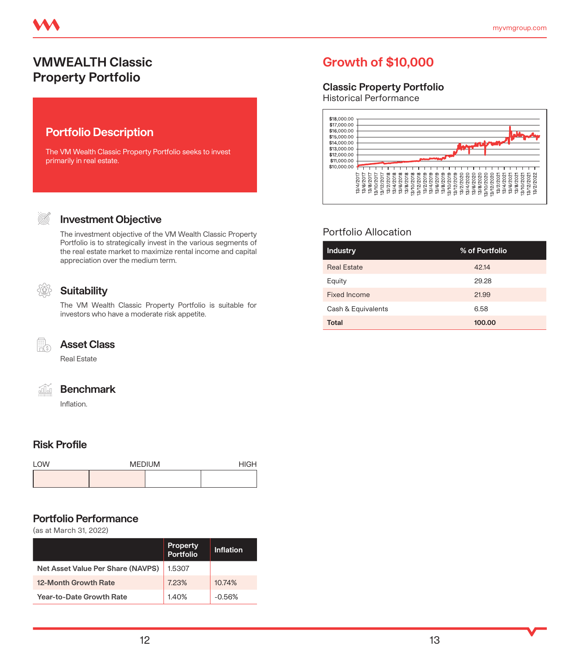# **VMWEALTH Classic Property Portfolio**

# **Portfolio Description**

The VM Wealth Classic Property Portfolio seeks to invest primarily in real estate.

#### (S)

#### **Investment Objective**

The investment objective of the VM Wealth Classic Property Portfolio is to strategically invest in the various segments of the real estate market to maximize rental income and capital appreciation over the medium term.

#### **Suitability**

The VM Wealth Classic Property Portfolio is suitable for investors who have a moderate risk appetite.



### **Asset Class**

Real Estate

áň

#### **Benchmark**

Inflation.

#### **Risk Profile**

| <b>I OW</b> | <b>MEDIUM</b> | HIGH |  |
|-------------|---------------|------|--|
|             |               |      |  |

#### **Portfolio Performance**

(as at March 31, 2022)

|                                   | <b>Property</b><br><b>Portfolio</b> | Inflation |
|-----------------------------------|-------------------------------------|-----------|
| Net Asset Value Per Share (NAVPS) | 1.5307                              |           |
| 12-Month Growth Rate              | 723%                                | 1074%     |
| Year-to-Date Growth Rate          | 140%                                | $-0.56%$  |

# **Growth of \$10,000**

#### **Classic Property Portfolio**

Historical Performance



### Portfolio Allocation

| <b>Industry</b>    | % of Portfolio |
|--------------------|----------------|
| <b>Real Estate</b> | 42.14          |
| Equity             | 29.28          |
| Fixed Income       | 21.99          |
| Cash & Equivalents | 6.58           |
| <b>Total</b>       | 100.00         |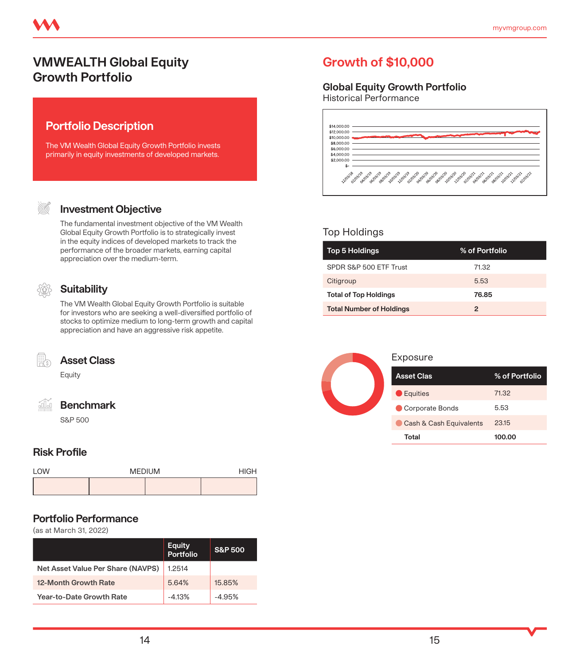# **VMWEALTH Global Equity Growth Portfolio**

# **Portfolio Description**

The VM Wealth Global Equity Growth Portfolio invests primarily in equity investments of developed markets.

#### **Investment Objective**

The fundamental investment objective of the VM Wealth Global Equity Growth Portfolio is to strategically invest in the equity indices of developed markets to track the performance of the broader markets, earning capital appreciation over the medium-term.

### **Suitability**

The VM Wealth Global Equity Growth Portfolio is suitable for investors who are seeking a well-diversified portfolio of stocks to optimize medium to long-term growth and capital appreciation and have an aggressive risk appetite.



#### **Asset Class**

Equity

|     |  |  | a. |  |
|-----|--|--|----|--|
| o m |  |  |    |  |
|     |  |  |    |  |
|     |  |  |    |  |
|     |  |  |    |  |

#### **Benchmark**

S&P 500

#### **Risk Profile**

| $1$ OW | <b>MEDIUM</b> | <b>HIGH</b> |  |
|--------|---------------|-------------|--|
|        |               |             |  |

#### **Portfolio Performance**

(as at March 31, 2022)

|                                   | <b>Equity</b><br>Portfolio | <b>S&amp;P 500</b> |
|-----------------------------------|----------------------------|--------------------|
| Net Asset Value Per Share (NAVPS) | 12514                      |                    |
| 12-Month Growth Rate              | 564%                       | 1585%              |
| Year-to-Date Growth Rate          | $-413%$                    | $-4.95%$           |

# **Growth of \$10,000**

### **Global Equity Growth Portfolio**

Historical Performance



### Top Holdings

| <b>Top 5 Holdings</b>           | % of Portfolio |
|---------------------------------|----------------|
| SPDR S&P 500 ETF Trust          | 71.32          |
| Citigroup                       | 5.53           |
| <b>Total of Top Holdings</b>    | 76.85          |
| <b>Total Number of Holdings</b> | 2              |



#### Exposure

| <b>Asset Clas</b>       | % of Portfolio |
|-------------------------|----------------|
| <b>Equities</b>         | 71.32          |
| Corporate Bonds         | 5.53           |
| Cash & Cash Equivalents | 23.15          |
| Total                   | 100.00         |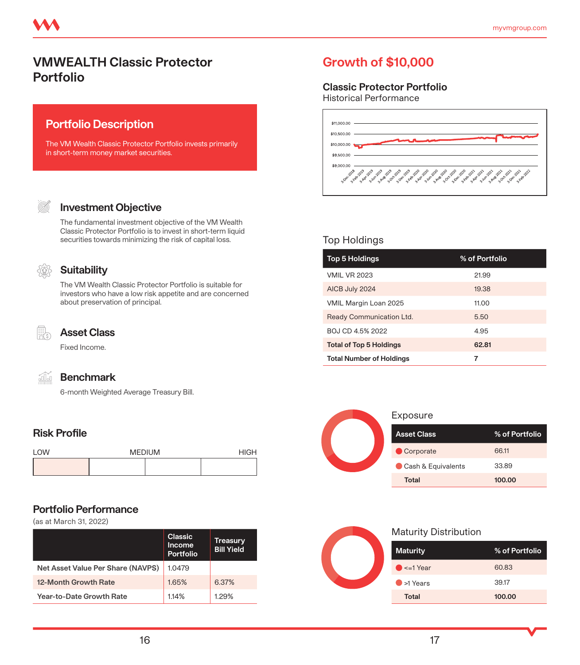# **VMWEALTH Classic Protector Portfolio**

### **Portfolio Description**

The VM Wealth Classic Protector Portfolio invests primarily in short-term money market securities.



#### **Investment Objective**

The fundamental investment objective of the VM Wealth Classic Protector Portfolio is to invest in short-term liquid securities towards minimizing the risk of capital loss.



#### **Suitability**

The VM Wealth Classic Protector Portfolio is suitable for investors who have a low risk appetite and are concerned about preservation of principal.



#### **Asset Class**

Fixed Income.



#### **Benchmark**

6-month Weighted Average Treasury Bill.

#### **Risk Profile**

| <b>I OW</b> | <b>MEDIUM</b> | HIGH |  |
|-------------|---------------|------|--|
|             |               |      |  |

#### **Portfolio Performance**

(as at March 31, 2022)

|                                   | Classic<br>Income<br><b>Portfolio</b> | <b>Treasury</b><br><b>Bill Yield</b> |
|-----------------------------------|---------------------------------------|--------------------------------------|
| Net Asset Value Per Share (NAVPS) | 1.0479                                |                                      |
| 12-Month Growth Rate              | 1.65%                                 | 6.37%                                |
| Year-to-Date Growth Rate          | 114%                                  | 129%                                 |

# **Growth of \$10,000**

### **Classic Protector Portfolio**

Historical Performance



#### Top Holdings

| <b>Top 5 Holdings</b>           | % of Portfolio |
|---------------------------------|----------------|
| <b>VMIL VR 2023</b>             | 21.99          |
| AICB July 2024                  | 19.38          |
| VMIL Margin Loan 2025           | 11.00          |
| Ready Communication Ltd.        | 5.50           |
| BOJ CD 4.5% 2022                | 4.95           |
| <b>Total of Top 5 Holdings</b>  | 62.81          |
| <b>Total Number of Holdings</b> | 7              |



#### Exposure

| <b>Asset Class</b> | % of Portfolio |
|--------------------|----------------|
| Corporate          | 6611           |
| Cash & Equivalents | 33.89          |
| Total              | 100.00         |



| <b>Maturity</b>    | % of Portfolio |
|--------------------|----------------|
| $\bullet$ <=1 Year | 60.83          |
| $\bullet$ >1 Years | 39.17          |
| Total              | 100.00         |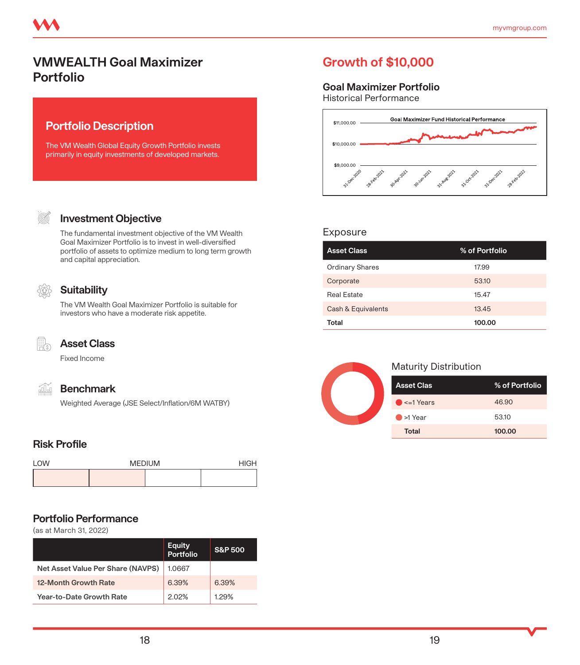# **VMWEALTH Goal Maximizer Portfolio**

# **Portfolio Description**

The VM Wealth Global Equity Growth Portfolio invests primarily in equity investments of developed markets.

#### **Investment Objective**

The fundamental investment objective of the VM Wealth Goal Maximizer Portfolio is to invest in well-diversified portfolio of assets to optimize medium to long term growth and capital appreciation.

### **Suitability**

The VM Wealth Goal Maximizer Portfolio is suitable for investors who have a moderate risk appetite.



íÑ

#### **Asset Class**

Fixed Income

#### **Benchmark**

Weighted Average (JSE Select/Inflation/6M WATBY)

#### **Risk Profile**

| <b>I OW</b> | <b>MEDIUM</b> |  | <b>HIGH</b> |
|-------------|---------------|--|-------------|
|             |               |  |             |

#### **Portfolio Performance**

(as at March 31, 2022)

|                                   | <b>Equity</b><br>Portfolio | <b>S&amp;P 500</b> |
|-----------------------------------|----------------------------|--------------------|
| Net Asset Value Per Share (NAVPS) | 1.0667                     |                    |
| 12-Month Growth Rate              | 639%                       | 639%               |
| Year-to-Date Growth Rate          | 202%                       | 129%               |

# **Growth of \$10,000**

#### **Goal Maximizer Portfolio**

Historical Performance



#### Exposure

| <b>Asset Class</b>     | % of Portfolio |
|------------------------|----------------|
| <b>Ordinary Shares</b> | 17.99          |
| Corporate              | 53.10          |
| <b>Real Estate</b>     | 15.47          |
| Cash & Equivalents     | 13.45          |
| Total                  | 100.00         |



| <b>Asset Clas</b>   | % of Portfolio |
|---------------------|----------------|
| $\bullet$ <=1 Years | 46.90          |
| $\bullet$ >1 Year   | 53.10          |
| <b>Total</b>        | 100.00         |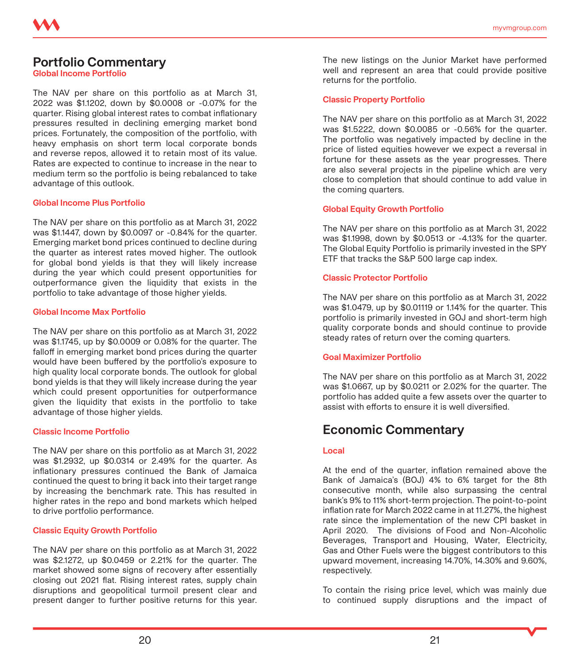# **Portfolio Commentary**

**Global Income Portfolio** 

The NAV per share on this portfolio as at March 31, 2022 was \$1.1202, down by \$0.0008 or -0.07% for the quarter. Rising global interest rates to combat inflationary pressures resulted in declining emerging market bond prices. Fortunately, the composition of the portfolio, with heavy emphasis on short term local corporate bonds and reverse repos, allowed it to retain most of its value. Rates are expected to continue to increase in the near to medium term so the portfolio is being rebalanced to take advantage of this outlook.

#### **Global Income Plus Portfolio**

The NAV per share on this portfolio as at March 31, 2022 was \$1.1447, down by \$0.0097 or -0.84% for the quarter. Emerging market bond prices continued to decline during the quarter as interest rates moved higher. The outlook for global bond yields is that they will likely increase during the year which could present opportunities for outperformance given the liquidity that exists in the portfolio to take advantage of those higher yields.

#### **Global Income Max Portfolio**

The NAV per share on this portfolio as at March 31, 2022 was \$1.1745, up by \$0.0009 or 0.08% for the quarter. The falloff in emerging market bond prices during the quarter would have been buffered by the portfolio's exposure to high quality local corporate bonds. The outlook for global bond yields is that they will likely increase during the year which could present opportunities for outperformance given the liquidity that exists in the portfolio to take advantage of those higher yields.

#### **Classic Income Portfolio**

The NAV per share on this portfolio as at March 31, 2022 was \$1.2932, up \$0.0314 or 2.49% for the quarter. As inflationary pressures continued the Bank of Jamaica continued the quest to bring it back into their target range by increasing the benchmark rate. This has resulted in higher rates in the repo and bond markets which helped to drive portfolio performance.

#### **Classic Equity Growth Portfolio**

The NAV per share on this portfolio as at March 31, 2022 was \$2.1272, up \$0.0459 or 2.21% for the quarter. The market showed some signs of recovery after essentially closing out 2021 flat. Rising interest rates, supply chain disruptions and geopolitical turmoil present clear and present danger to further positive returns for this year. The new listings on the Junior Market have performed well and represent an area that could provide positive returns for the portfolio.

#### **Classic Property Portfolio**

The NAV per share on this portfolio as at March 31, 2022 was \$1.5222, down \$0.0085 or -0.56% for the quarter. The portfolio was negatively impacted by decline in the price of listed equities however we expect a reversal in fortune for these assets as the year progresses. There are also several projects in the pipeline which are very close to completion that should continue to add value in the coming quarters.

#### **Global Equity Growth Portfolio**

The NAV per share on this portfolio as at March 31, 2022 was \$1.1998, down by \$0.0513 or -4.13% for the quarter. The Global Equity Portfolio is primarily invested in the SPY ETF that tracks the S&P 500 large cap index.

#### **Classic Protector Portfolio**

The NAV per share on this portfolio as at March 31, 2022 was \$1.0479, up by \$0.01119 or 1.14% for the quarter. This portfolio is primarily invested in GOJ and short-term high quality corporate bonds and should continue to provide steady rates of return over the coming quarters.

#### **Goal Maximizer Portfolio**

The NAV per share on this portfolio as at March 31, 2022 was \$1.0667, up by \$0.0211 or 2.02% for the quarter. The portfolio has added quite a few assets over the quarter to assist with efforts to ensure it is well diversified.

# **Economic Commentary**

#### **Local**

At the end of the quarter, inflation remained above the Bank of Jamaica's (BOJ) 4% to 6% target for the 8th consecutive month, while also surpassing the central bank's 9% to 11% short-term projection. The point-to-point inflation rate for March 2022 came in at 11.27%, the highest rate since the implementation of the new CPI basket in April 2020. The divisions of Food and Non-Alcoholic Beverages, Transport and Housing, Water, Electricity, Gas and Other Fuels were the biggest contributors to this upward movement, increasing 14.70%, 14.30% and 9.60%, respectively.

To contain the rising price level, which was mainly due to continued supply disruptions and the impact of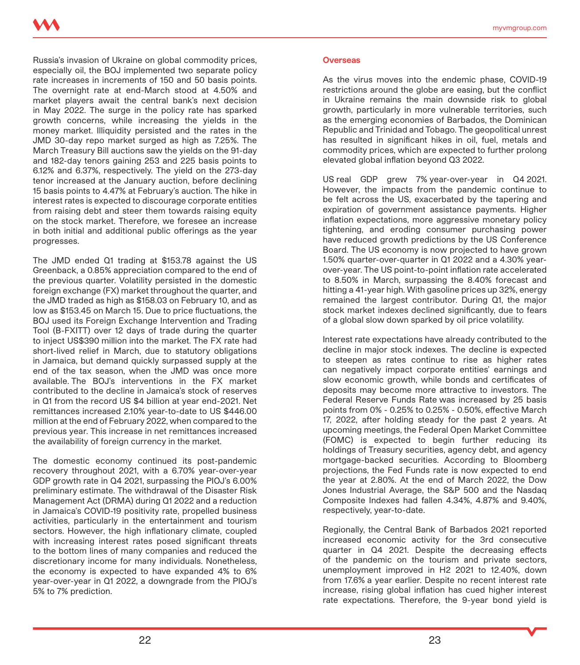Russia's invasion of Ukraine on global commodity prices, especially oil, the BOJ implemented two separate policy rate increases in increments of 150 and 50 basis points. The overnight rate at end-March stood at 4.50% and market players await the central bank's next decision in May 2022. The surge in the policy rate has sparked growth concerns, while increasing the yields in the money market. Illiquidity persisted and the rates in the JMD 30-day repo market surged as high as 7.25%. The March Treasury Bill auctions saw the yields on the 91-day and 182-day tenors gaining 253 and 225 basis points to 6.12% and 6.37%, respectively. The yield on the 273-day tenor increased at the January auction, before declining 15 basis points to 4.47% at February's auction. The hike in interest rates is expected to discourage corporate entities from raising debt and steer them towards raising equity on the stock market. Therefore, we foresee an increase in both initial and additional public offerings as the year progresses.

The JMD ended Q1 trading at \$153.78 against the US Greenback, a 0.85% appreciation compared to the end of the previous quarter. Volatility persisted in the domestic foreign exchange (FX) market throughout the quarter, and the JMD traded as high as \$158.03 on February 10, and as low as \$153.45 on March 15. Due to price fluctuations, the BOJ used its Foreign Exchange Intervention and Trading Tool (B-FXITT) over 12 days of trade during the quarter to inject US\$390 million into the market. The FX rate had short-lived relief in March, due to statutory obligations in Jamaica, but demand quickly surpassed supply at the end of the tax season, when the JMD was once more available. The BOJ's interventions in the FX market contributed to the decline in Jamaica's stock of reserves in Q1 from the record US \$4 billion at year end-2021. Net remittances increased 2.10% year-to-date to US \$446.00 million at the end of February 2022, when compared to the previous year. This increase in net remittances increased the availability of foreign currency in the market.

The domestic economy continued its post-pandemic recovery throughout 2021, with a 6.70% year-over-year GDP growth rate in Q4 2021, surpassing the PIOJ's 6.00% preliminary estimate. The withdrawal of the Disaster Risk Management Act (DRMA) during Q1 2022 and a reduction in Jamaica's COVID-19 positivity rate, propelled business activities, particularly in the entertainment and tourism sectors. However, the high inflationary climate, coupled with increasing interest rates posed significant threats to the bottom lines of many companies and reduced the discretionary income for many individuals. Nonetheless, the economy is expected to have expanded 4% to 6% year-over-year in Q1 2022, a downgrade from the PIOJ's 5% to 7% prediction.

#### **Overseas**

As the virus moves into the endemic phase, COVID-19 restrictions around the globe are easing, but the conflict in Ukraine remains the main downside risk to global growth, particularly in more vulnerable territories, such as the emerging economies of Barbados, the Dominican Republic and Trinidad and Tobago. The geopolitical unrest has resulted in significant hikes in oil, fuel, metals and commodity prices, which are expected to further prolong elevated global inflation beyond Q3 2022.

US real GDP grew 7% year-over-year in Q4 2021. However, the impacts from the pandemic continue to be felt across the US, exacerbated by the tapering and expiration of government assistance payments. Higher inflation expectations, more aggressive monetary policy tightening, and eroding consumer purchasing power have reduced growth predictions by the US Conference Board. The US economy is now projected to have grown 1.50% quarter-over-quarter in Q1 2022 and a 4.30% yearover-year. The US point-to-point inflation rate accelerated to 8.50% in March, surpassing the 8.40% forecast and hitting a 41-year high. With gasoline prices up 32%, energy remained the largest contributor. During Q1, the major stock market indexes declined significantly, due to fears of a global slow down sparked by oil price volatility.

Interest rate expectations have already contributed to the decline in major stock indexes. The decline is expected to steepen as rates continue to rise as higher rates can negatively impact corporate entities' earnings and slow economic growth, while bonds and certificates of deposits may become more attractive to investors. The Federal Reserve Funds Rate was increased by 25 basis points from 0% - 0.25% to 0.25% - 0.50%, effective March 17, 2022, after holding steady for the past 2 years. At upcoming meetings, the Federal Open Market Committee (FOMC) is expected to begin further reducing its holdings of Treasury securities, agency debt, and agency mortgage-backed securities. According to Bloomberg projections, the Fed Funds rate is now expected to end the year at 2.80%. At the end of March 2022, the Dow Jones Industrial Average, the S&P 500 and the Nasdaq Composite Indexes had fallen 4.34%, 4.87% and 9.40%, respectively, year-to-date.

Regionally, the Central Bank of Barbados 2021 reported increased economic activity for the 3rd consecutive quarter in Q4 2021. Despite the decreasing effects of the pandemic on the tourism and private sectors, unemployment improved in H2 2021 to 12.40%, down from 17.6% a year earlier. Despite no recent interest rate increase, rising global inflation has cued higher interest rate expectations. Therefore, the 9-year bond yield is